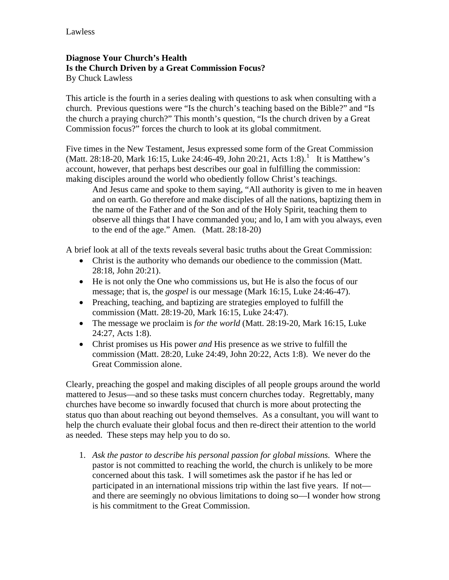## **Diagnose Your Church's Health Is the Church Driven by a Great Commission Focus?**  By Chuck Lawless

This article is the fourth in a series dealing with questions to ask when consulting with a church. Previous questions were "Is the church's teaching based on the Bible?" and "Is the church a praying church?" This month's question, "Is the church driven by a Great Commission focus?" forces the church to look at its global commitment.

Five times in the New Testament, Jesus expressed some form of the Great Commission (Matt. 28:[1](#page-1-0)8-20, Mark 16:15, Luke 24:46-49, John 20:21, Acts 1:8).<sup>1</sup> It is Matthew's account, however, that perhaps best describes our goal in fulfilling the commission: making disciples around the world who obediently follow Christ's teachings.

And Jesus came and spoke to them saying, "All authority is given to me in heaven and on earth. Go therefore and make disciples of all the nations, baptizing them in the name of the Father and of the Son and of the Holy Spirit, teaching them to observe all things that I have commanded you; and lo, I am with you always, even to the end of the age." Amen. (Matt. 28:18-20)

A brief look at all of the texts reveals several basic truths about the Great Commission:

- Christ is the authority who demands our obedience to the commission (Matt. 28:18, John 20:21).
- He is not only the One who commissions us, but He is also the focus of our message; that is, the *gospel* is our message (Mark 16:15, Luke 24:46-47).
- Preaching, teaching, and baptizing are strategies employed to fulfill the commission (Matt. 28:19-20, Mark 16:15, Luke 24:47).
- The message we proclaim is *for the world* (Matt. 28:19-20, Mark 16:15, Luke 24:27, Acts 1:8).
- Christ promises us His power *and* His presence as we strive to fulfill the commission (Matt. 28:20, Luke 24:49, John 20:22, Acts 1:8). We never do the Great Commission alone.

Clearly, preaching the gospel and making disciples of all people groups around the world mattered to Jesus—and so these tasks must concern churches today. Regrettably, many churches have become so inwardly focused that church is more about protecting the status quo than about reaching out beyond themselves. As a consultant, you will want to help the church evaluate their global focus and then re-direct their attention to the world as needed. These steps may help you to do so.

1. *Ask the pastor to describe his personal passion for global missions.* Where the pastor is not committed to reaching the world, the church is unlikely to be more concerned about this task. I will sometimes ask the pastor if he has led or participated in an international missions trip within the last five years. If not and there are seemingly no obvious limitations to doing so—I wonder how strong is his commitment to the Great Commission.